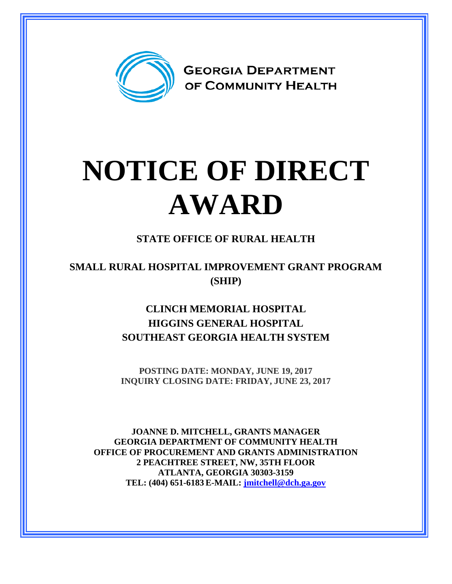

## **NOTICE OF DIRECT AWARD**

## **STATE OFFICE OF RURAL HEALTH**

**SMALL RURAL HOSPITAL IMPROVEMENT GRANT PROGRAM (SHIP)**

> **CLINCH MEMORIAL HOSPITAL HIGGINS GENERAL HOSPITAL SOUTHEAST GEORGIA HEALTH SYSTEM**

> **POSTING DATE: MONDAY, JUNE 19, 2017 INQUIRY CLOSING DATE: FRIDAY, JUNE 23, 2017**

**JOANNE D. MITCHELL, GRANTS MANAGER GEORGIA DEPARTMENT OF COMMUNITY HEALTH OFFICE OF PROCUREMENT AND GRANTS ADMINISTRATION 2 PEACHTREE STREET, NW, 35TH FLOOR ATLANTA, GEORGIA 30303-3159 TEL: (404) 651-6183 E-MAIL: [jmitchell@dch.ga.gov](mailto:awatson@dch.ga.gov)**